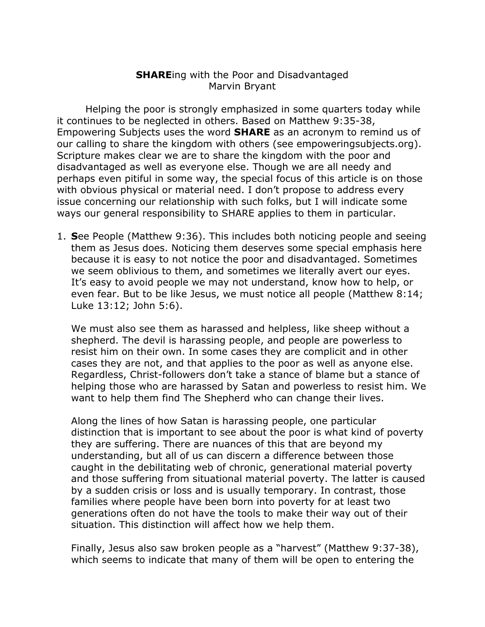## **SHARE**ing with the Poor and Disadvantaged Marvin Bryant

Helping the poor is strongly emphasized in some quarters today while it continues to be neglected in others. Based on Matthew 9:35-38, Empowering Subjects uses the word **SHARE** as an acronym to remind us of our calling to share the kingdom with others (see empoweringsubjects.org). Scripture makes clear we are to share the kingdom with the poor and disadvantaged as well as everyone else. Though we are all needy and perhaps even pitiful in some way, the special focus of this article is on those with obvious physical or material need. I don't propose to address every issue concerning our relationship with such folks, but I will indicate some ways our general responsibility to SHARE applies to them in particular.

1. **S**ee People (Matthew 9:36). This includes both noticing people and seeing them as Jesus does. Noticing them deserves some special emphasis here because it is easy to not notice the poor and disadvantaged. Sometimes we seem oblivious to them, and sometimes we literally avert our eyes. It's easy to avoid people we may not understand, know how to help, or even fear. But to be like Jesus, we must notice all people (Matthew 8:14; Luke 13:12; John 5:6).

We must also see them as harassed and helpless, like sheep without a shepherd. The devil is harassing people, and people are powerless to resist him on their own. In some cases they are complicit and in other cases they are not, and that applies to the poor as well as anyone else. Regardless, Christ-followers don't take a stance of blame but a stance of helping those who are harassed by Satan and powerless to resist him. We want to help them find The Shepherd who can change their lives.

Along the lines of how Satan is harassing people, one particular distinction that is important to see about the poor is what kind of poverty they are suffering. There are nuances of this that are beyond my understanding, but all of us can discern a difference between those caught in the debilitating web of chronic, generational material poverty and those suffering from situational material poverty. The latter is caused by a sudden crisis or loss and is usually temporary. In contrast, those families where people have been born into poverty for at least two generations often do not have the tools to make their way out of their situation. This distinction will affect how we help them.

Finally, Jesus also saw broken people as a "harvest" (Matthew 9:37-38), which seems to indicate that many of them will be open to entering the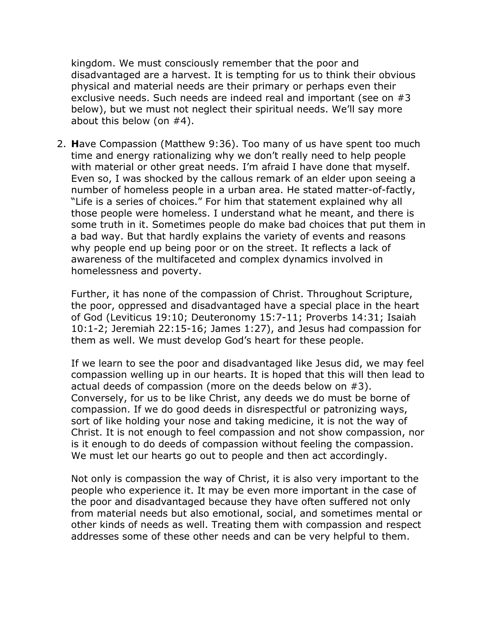kingdom. We must consciously remember that the poor and disadvantaged are a harvest. It is tempting for us to think their obvious physical and material needs are their primary or perhaps even their exclusive needs. Such needs are indeed real and important (see on #3 below), but we must not neglect their spiritual needs. We'll say more about this below (on #4).

2. **H**ave Compassion (Matthew 9:36). Too many of us have spent too much time and energy rationalizing why we don't really need to help people with material or other great needs. I'm afraid I have done that myself. Even so, I was shocked by the callous remark of an elder upon seeing a number of homeless people in a urban area. He stated matter-of-factly, "Life is a series of choices." For him that statement explained why all those people were homeless. I understand what he meant, and there is some truth in it. Sometimes people do make bad choices that put them in a bad way. But that hardly explains the variety of events and reasons why people end up being poor or on the street. It reflects a lack of awareness of the multifaceted and complex dynamics involved in homelessness and poverty.

Further, it has none of the compassion of Christ. Throughout Scripture, the poor, oppressed and disadvantaged have a special place in the heart of God (Leviticus 19:10; Deuteronomy 15:7-11; Proverbs 14:31; Isaiah 10:1-2; Jeremiah 22:15-16; James 1:27), and Jesus had compassion for them as well. We must develop God's heart for these people.

If we learn to see the poor and disadvantaged like Jesus did, we may feel compassion welling up in our hearts. It is hoped that this will then lead to actual deeds of compassion (more on the deeds below on #3). Conversely, for us to be like Christ, any deeds we do must be borne of compassion. If we do good deeds in disrespectful or patronizing ways, sort of like holding your nose and taking medicine, it is not the way of Christ. It is not enough to feel compassion and not show compassion, nor is it enough to do deeds of compassion without feeling the compassion. We must let our hearts go out to people and then act accordingly.

Not only is compassion the way of Christ, it is also very important to the people who experience it. It may be even more important in the case of the poor and disadvantaged because they have often suffered not only from material needs but also emotional, social, and sometimes mental or other kinds of needs as well. Treating them with compassion and respect addresses some of these other needs and can be very helpful to them.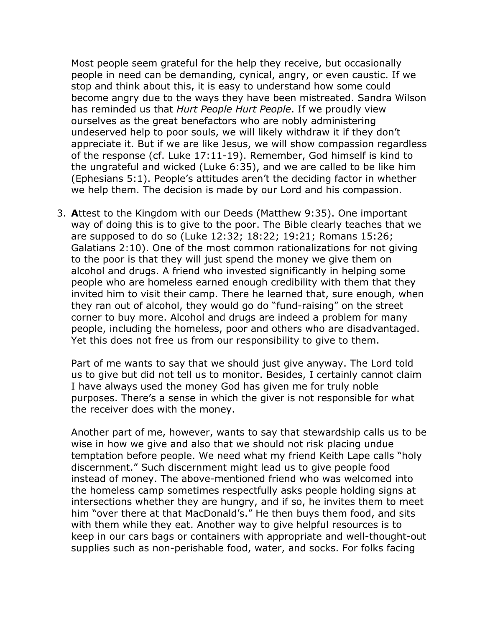Most people seem grateful for the help they receive, but occasionally people in need can be demanding, cynical, angry, or even caustic. If we stop and think about this, it is easy to understand how some could become angry due to the ways they have been mistreated. Sandra Wilson has reminded us that *Hurt People Hurt People*. If we proudly view ourselves as the great benefactors who are nobly administering undeserved help to poor souls, we will likely withdraw it if they don't appreciate it. But if we are like Jesus, we will show compassion regardless of the response (cf. Luke 17:11-19). Remember, God himself is kind to the ungrateful and wicked (Luke 6:35), and we are called to be like him (Ephesians 5:1). People's attitudes aren't the deciding factor in whether we help them. The decision is made by our Lord and his compassion.

3. **A**ttest to the Kingdom with our Deeds (Matthew 9:35). One important way of doing this is to give to the poor. The Bible clearly teaches that we are supposed to do so (Luke 12:32; 18:22; 19:21; Romans 15:26; Galatians 2:10). One of the most common rationalizations for not giving to the poor is that they will just spend the money we give them on alcohol and drugs. A friend who invested significantly in helping some people who are homeless earned enough credibility with them that they invited him to visit their camp. There he learned that, sure enough, when they ran out of alcohol, they would go do "fund-raising" on the street corner to buy more. Alcohol and drugs are indeed a problem for many people, including the homeless, poor and others who are disadvantaged. Yet this does not free us from our responsibility to give to them.

Part of me wants to say that we should just give anyway. The Lord told us to give but did not tell us to monitor. Besides, I certainly cannot claim I have always used the money God has given me for truly noble purposes. There's a sense in which the giver is not responsible for what the receiver does with the money.

Another part of me, however, wants to say that stewardship calls us to be wise in how we give and also that we should not risk placing undue temptation before people. We need what my friend Keith Lape calls "holy discernment." Such discernment might lead us to give people food instead of money. The above-mentioned friend who was welcomed into the homeless camp sometimes respectfully asks people holding signs at intersections whether they are hungry, and if so, he invites them to meet him "over there at that MacDonald's." He then buys them food, and sits with them while they eat. Another way to give helpful resources is to keep in our cars bags or containers with appropriate and well-thought-out supplies such as non-perishable food, water, and socks. For folks facing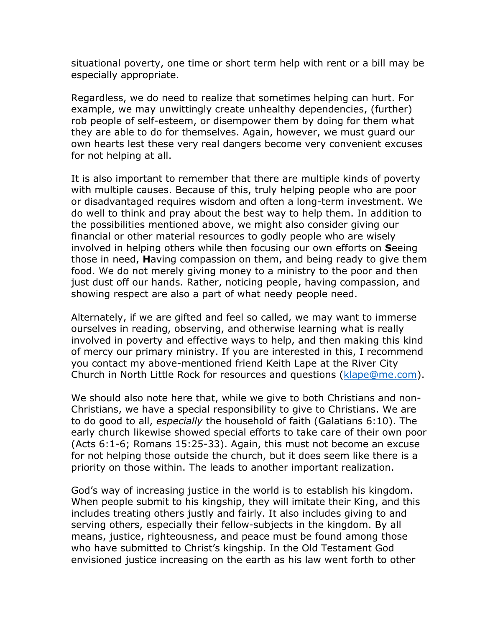situational poverty, one time or short term help with rent or a bill may be especially appropriate.

Regardless, we do need to realize that sometimes helping can hurt. For example, we may unwittingly create unhealthy dependencies, (further) rob people of self-esteem, or disempower them by doing for them what they are able to do for themselves. Again, however, we must guard our own hearts lest these very real dangers become very convenient excuses for not helping at all.

It is also important to remember that there are multiple kinds of poverty with multiple causes. Because of this, truly helping people who are poor or disadvantaged requires wisdom and often a long-term investment. We do well to think and pray about the best way to help them. In addition to the possibilities mentioned above, we might also consider giving our financial or other material resources to godly people who are wisely involved in helping others while then focusing our own efforts on **S**eeing those in need, **H**aving compassion on them, and being ready to give them food. We do not merely giving money to a ministry to the poor and then just dust off our hands. Rather, noticing people, having compassion, and showing respect are also a part of what needy people need.

Alternately, if we are gifted and feel so called, we may want to immerse ourselves in reading, observing, and otherwise learning what is really involved in poverty and effective ways to help, and then making this kind of mercy our primary ministry. If you are interested in this, I recommend you contact my above-mentioned friend Keith Lape at the River City Church in North Little Rock for resources and questions (klape@me.com).

We should also note here that, while we give to both Christians and non-Christians, we have a special responsibility to give to Christians. We are to do good to all, *especially* the household of faith (Galatians 6:10). The early church likewise showed special efforts to take care of their own poor (Acts 6:1-6; Romans 15:25-33). Again, this must not become an excuse for not helping those outside the church, but it does seem like there is a priority on those within. The leads to another important realization.

God's way of increasing justice in the world is to establish his kingdom. When people submit to his kingship, they will imitate their King, and this includes treating others justly and fairly. It also includes giving to and serving others, especially their fellow-subjects in the kingdom. By all means, justice, righteousness, and peace must be found among those who have submitted to Christ's kingship. In the Old Testament God envisioned justice increasing on the earth as his law went forth to other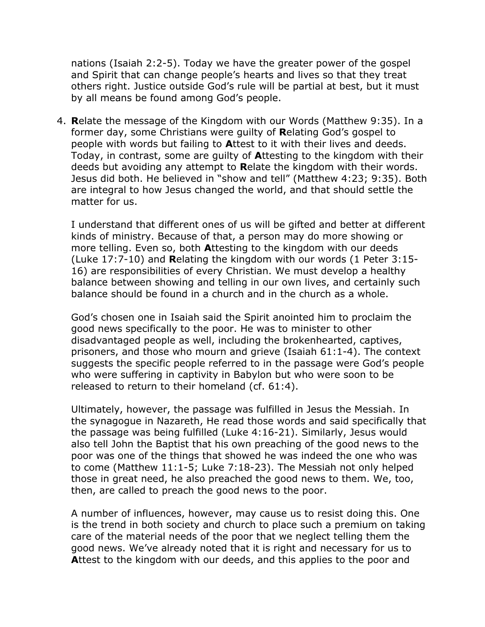nations (Isaiah 2:2-5). Today we have the greater power of the gospel and Spirit that can change people's hearts and lives so that they treat others right. Justice outside God's rule will be partial at best, but it must by all means be found among God's people.

4. **R**elate the message of the Kingdom with our Words (Matthew 9:35). In a former day, some Christians were guilty of **R**elating God's gospel to people with words but failing to **A**ttest to it with their lives and deeds. Today, in contrast, some are guilty of **A**ttesting to the kingdom with their deeds but avoiding any attempt to **R**elate the kingdom with their words. Jesus did both. He believed in "show and tell" (Matthew 4:23; 9:35). Both are integral to how Jesus changed the world, and that should settle the matter for us.

I understand that different ones of us will be gifted and better at different kinds of ministry. Because of that, a person may do more showing or more telling. Even so, both **A**ttesting to the kingdom with our deeds (Luke 17:7-10) and **R**elating the kingdom with our words (1 Peter 3:15- 16) are responsibilities of every Christian. We must develop a healthy balance between showing and telling in our own lives, and certainly such balance should be found in a church and in the church as a whole.

God's chosen one in Isaiah said the Spirit anointed him to proclaim the good news specifically to the poor. He was to minister to other disadvantaged people as well, including the brokenhearted, captives, prisoners, and those who mourn and grieve (Isaiah 61:1-4). The context suggests the specific people referred to in the passage were God's people who were suffering in captivity in Babylon but who were soon to be released to return to their homeland (cf. 61:4).

Ultimately, however, the passage was fulfilled in Jesus the Messiah. In the synagogue in Nazareth, He read those words and said specifically that the passage was being fulfilled (Luke 4:16-21). Similarly, Jesus would also tell John the Baptist that his own preaching of the good news to the poor was one of the things that showed he was indeed the one who was to come (Matthew 11:1-5; Luke 7:18-23). The Messiah not only helped those in great need, he also preached the good news to them. We, too, then, are called to preach the good news to the poor.

A number of influences, however, may cause us to resist doing this. One is the trend in both society and church to place such a premium on taking care of the material needs of the poor that we neglect telling them the good news. We've already noted that it is right and necessary for us to **A**ttest to the kingdom with our deeds, and this applies to the poor and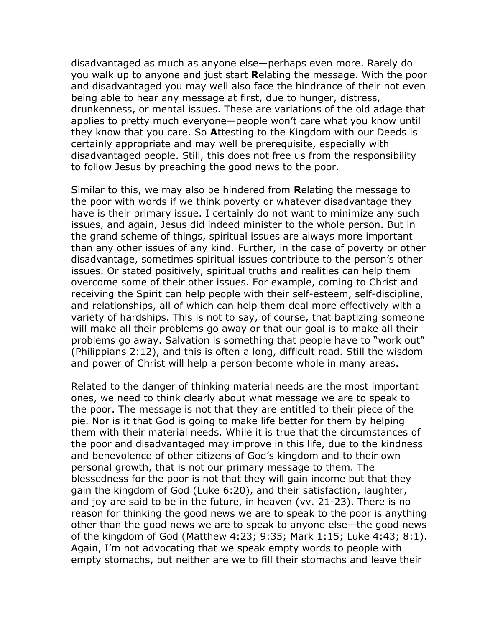disadvantaged as much as anyone else—perhaps even more. Rarely do you walk up to anyone and just start **R**elating the message. With the poor and disadvantaged you may well also face the hindrance of their not even being able to hear any message at first, due to hunger, distress, drunkenness, or mental issues. These are variations of the old adage that applies to pretty much everyone—people won't care what you know until they know that you care. So **A**ttesting to the Kingdom with our Deeds is certainly appropriate and may well be prerequisite, especially with disadvantaged people. Still, this does not free us from the responsibility to follow Jesus by preaching the good news to the poor.

Similar to this, we may also be hindered from **R**elating the message to the poor with words if we think poverty or whatever disadvantage they have is their primary issue. I certainly do not want to minimize any such issues, and again, Jesus did indeed minister to the whole person. But in the grand scheme of things, spiritual issues are always more important than any other issues of any kind. Further, in the case of poverty or other disadvantage, sometimes spiritual issues contribute to the person's other issues. Or stated positively, spiritual truths and realities can help them overcome some of their other issues. For example, coming to Christ and receiving the Spirit can help people with their self-esteem, self-discipline, and relationships, all of which can help them deal more effectively with a variety of hardships. This is not to say, of course, that baptizing someone will make all their problems go away or that our goal is to make all their problems go away. Salvation is something that people have to "work out" (Philippians 2:12), and this is often a long, difficult road. Still the wisdom and power of Christ will help a person become whole in many areas.

Related to the danger of thinking material needs are the most important ones, we need to think clearly about what message we are to speak to the poor. The message is not that they are entitled to their piece of the pie. Nor is it that God is going to make life better for them by helping them with their material needs. While it is true that the circumstances of the poor and disadvantaged may improve in this life, due to the kindness and benevolence of other citizens of God's kingdom and to their own personal growth, that is not our primary message to them. The blessedness for the poor is not that they will gain income but that they gain the kingdom of God (Luke 6:20), and their satisfaction, laughter, and joy are said to be in the future, in heaven (vv. 21-23). There is no reason for thinking the good news we are to speak to the poor is anything other than the good news we are to speak to anyone else—the good news of the kingdom of God (Matthew 4:23; 9:35; Mark 1:15; Luke 4:43; 8:1). Again, I'm not advocating that we speak empty words to people with empty stomachs, but neither are we to fill their stomachs and leave their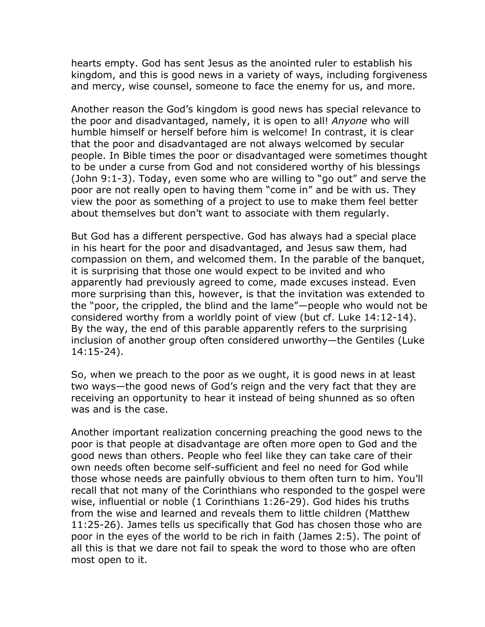hearts empty. God has sent Jesus as the anointed ruler to establish his kingdom, and this is good news in a variety of ways, including forgiveness and mercy, wise counsel, someone to face the enemy for us, and more.

Another reason the God's kingdom is good news has special relevance to the poor and disadvantaged, namely, it is open to all! *Anyone* who will humble himself or herself before him is welcome! In contrast, it is clear that the poor and disadvantaged are not always welcomed by secular people. In Bible times the poor or disadvantaged were sometimes thought to be under a curse from God and not considered worthy of his blessings (John 9:1-3). Today, even some who are willing to "go out" and serve the poor are not really open to having them "come in" and be with us. They view the poor as something of a project to use to make them feel better about themselves but don't want to associate with them regularly.

But God has a different perspective. God has always had a special place in his heart for the poor and disadvantaged, and Jesus saw them, had compassion on them, and welcomed them. In the parable of the banquet, it is surprising that those one would expect to be invited and who apparently had previously agreed to come, made excuses instead. Even more surprising than this, however, is that the invitation was extended to the "poor, the crippled, the blind and the lame"—people who would not be considered worthy from a worldly point of view (but cf. Luke 14:12-14). By the way, the end of this parable apparently refers to the surprising inclusion of another group often considered unworthy—the Gentiles (Luke 14:15-24).

So, when we preach to the poor as we ought, it is good news in at least two ways—the good news of God's reign and the very fact that they are receiving an opportunity to hear it instead of being shunned as so often was and is the case.

Another important realization concerning preaching the good news to the poor is that people at disadvantage are often more open to God and the good news than others. People who feel like they can take care of their own needs often become self-sufficient and feel no need for God while those whose needs are painfully obvious to them often turn to him. You'll recall that not many of the Corinthians who responded to the gospel were wise, influential or noble (1 Corinthians 1:26-29). God hides his truths from the wise and learned and reveals them to little children (Matthew 11:25-26). James tells us specifically that God has chosen those who are poor in the eyes of the world to be rich in faith (James 2:5). The point of all this is that we dare not fail to speak the word to those who are often most open to it.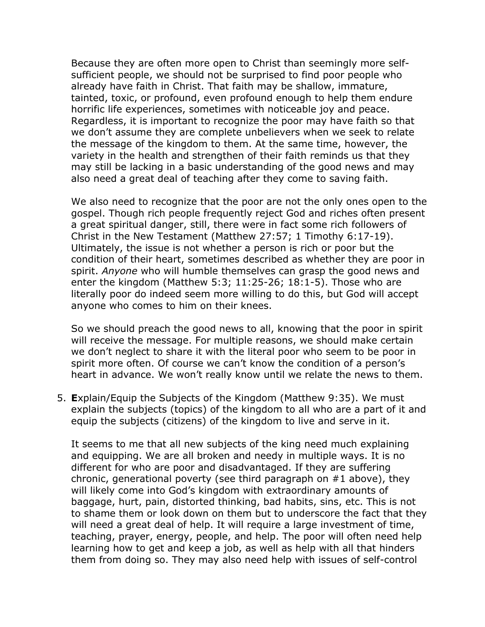Because they are often more open to Christ than seemingly more selfsufficient people, we should not be surprised to find poor people who already have faith in Christ. That faith may be shallow, immature, tainted, toxic, or profound, even profound enough to help them endure horrific life experiences, sometimes with noticeable joy and peace. Regardless, it is important to recognize the poor may have faith so that we don't assume they are complete unbelievers when we seek to relate the message of the kingdom to them. At the same time, however, the variety in the health and strengthen of their faith reminds us that they may still be lacking in a basic understanding of the good news and may also need a great deal of teaching after they come to saving faith.

We also need to recognize that the poor are not the only ones open to the gospel. Though rich people frequently reject God and riches often present a great spiritual danger, still, there were in fact some rich followers of Christ in the New Testament (Matthew 27:57; 1 Timothy 6:17-19). Ultimately, the issue is not whether a person is rich or poor but the condition of their heart, sometimes described as whether they are poor in spirit. *Anyone* who will humble themselves can grasp the good news and enter the kingdom (Matthew 5:3; 11:25-26; 18:1-5). Those who are literally poor do indeed seem more willing to do this, but God will accept anyone who comes to him on their knees.

So we should preach the good news to all, knowing that the poor in spirit will receive the message. For multiple reasons, we should make certain we don't neglect to share it with the literal poor who seem to be poor in spirit more often. Of course we can't know the condition of a person's heart in advance. We won't really know until we relate the news to them.

5. **E**xplain/Equip the Subjects of the Kingdom (Matthew 9:35). We must explain the subjects (topics) of the kingdom to all who are a part of it and equip the subjects (citizens) of the kingdom to live and serve in it.

It seems to me that all new subjects of the king need much explaining and equipping. We are all broken and needy in multiple ways. It is no different for who are poor and disadvantaged. If they are suffering chronic, generational poverty (see third paragraph on #1 above), they will likely come into God's kingdom with extraordinary amounts of baggage, hurt, pain, distorted thinking, bad habits, sins, etc. This is not to shame them or look down on them but to underscore the fact that they will need a great deal of help. It will require a large investment of time, teaching, prayer, energy, people, and help. The poor will often need help learning how to get and keep a job, as well as help with all that hinders them from doing so. They may also need help with issues of self-control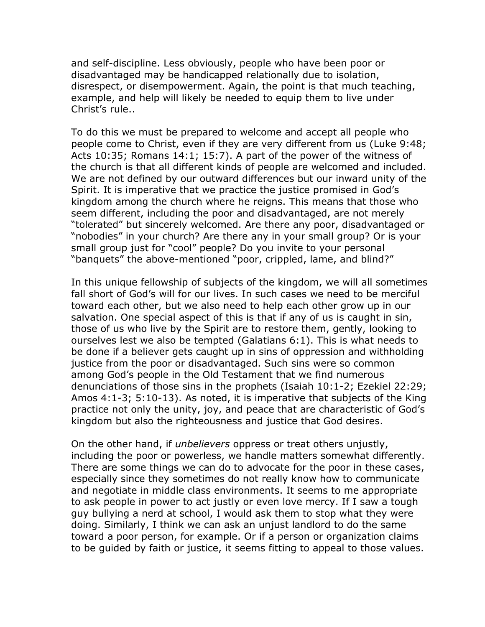and self-discipline. Less obviously, people who have been poor or disadvantaged may be handicapped relationally due to isolation, disrespect, or disempowerment. Again, the point is that much teaching, example, and help will likely be needed to equip them to live under Christ's rule..

To do this we must be prepared to welcome and accept all people who people come to Christ, even if they are very different from us (Luke 9:48; Acts 10:35; Romans 14:1; 15:7). A part of the power of the witness of the church is that all different kinds of people are welcomed and included. We are not defined by our outward differences but our inward unity of the Spirit. It is imperative that we practice the justice promised in God's kingdom among the church where he reigns. This means that those who seem different, including the poor and disadvantaged, are not merely "tolerated" but sincerely welcomed. Are there any poor, disadvantaged or "nobodies" in your church? Are there any in your small group? Or is your small group just for "cool" people? Do you invite to your personal "banquets" the above-mentioned "poor, crippled, lame, and blind?"

In this unique fellowship of subjects of the kingdom, we will all sometimes fall short of God's will for our lives. In such cases we need to be merciful toward each other, but we also need to help each other grow up in our salvation. One special aspect of this is that if any of us is caught in sin, those of us who live by the Spirit are to restore them, gently, looking to ourselves lest we also be tempted (Galatians 6:1). This is what needs to be done if a believer gets caught up in sins of oppression and withholding justice from the poor or disadvantaged. Such sins were so common among God's people in the Old Testament that we find numerous denunciations of those sins in the prophets (Isaiah 10:1-2; Ezekiel 22:29; Amos 4:1-3; 5:10-13). As noted, it is imperative that subjects of the King practice not only the unity, joy, and peace that are characteristic of God's kingdom but also the righteousness and justice that God desires.

On the other hand, if *unbelievers* oppress or treat others unjustly, including the poor or powerless, we handle matters somewhat differently. There are some things we can do to advocate for the poor in these cases, especially since they sometimes do not really know how to communicate and negotiate in middle class environments. It seems to me appropriate to ask people in power to act justly or even love mercy. If I saw a tough guy bullying a nerd at school, I would ask them to stop what they were doing. Similarly, I think we can ask an unjust landlord to do the same toward a poor person, for example. Or if a person or organization claims to be guided by faith or justice, it seems fitting to appeal to those values.